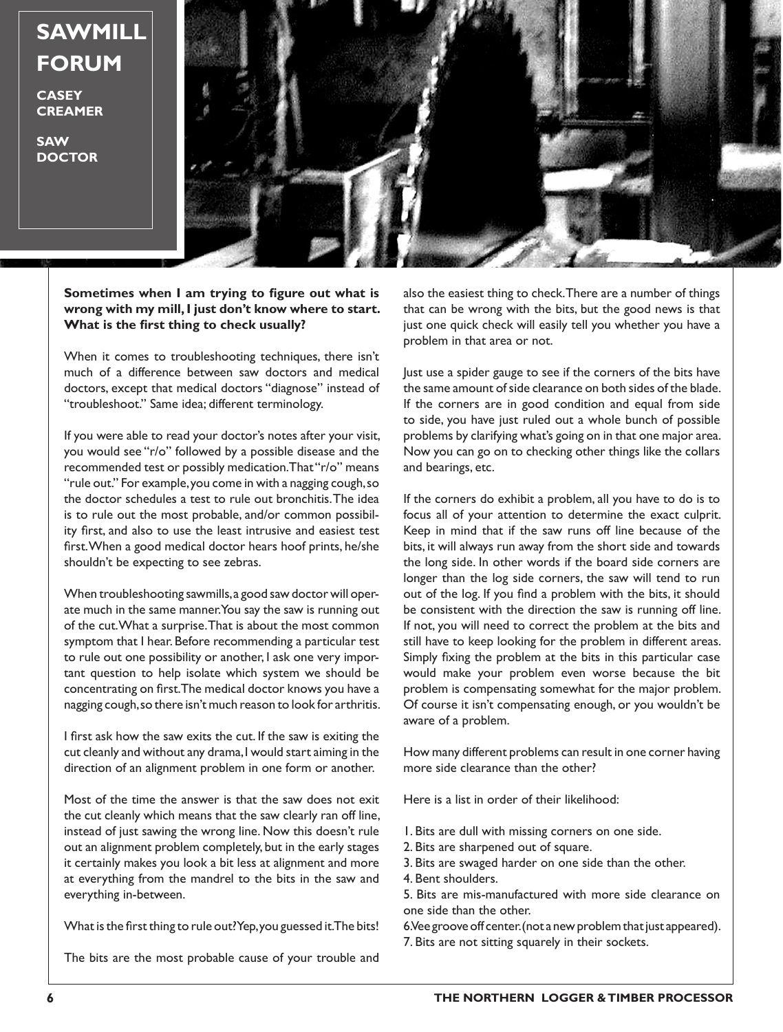## **SAWMILL FORUM**

**CASEY CREAMER**

**SAW DOCTOR**



**Sometimes when I am trying to figure out what is wrong with my mill, I just don't know where to start. What is the first thing to check usually?**

When it comes to troubleshooting techniques, there isn't much of a difference between saw doctors and medical doctors, except that medical doctors "diagnose" instead of "troubleshoot." Same idea; different terminology.

If you were able to read your doctor's notes after your visit, you would see "r/o" followed by a possible disease and the recommended test or possibly medication. That "r/o" means "rule out." For example, you come in with a nagging cough, so the doctor schedules a test to rule out bronchitis. The idea is to rule out the most probable, and/or common possibility first, and also to use the least intrusive and easiest test first. When a good medical doctor hears hoof prints, he/she shouldn't be expecting to see zebras.

When troubleshooting sawmills, a good saw doctor will operate much in the same manner. You say the saw is running out of the cut. What a surprise. That is about the most common symptom that I hear. Before recommending a particular test to rule out one possibility or another, I ask one very important question to help isolate which system we should be concentrating on first. The medical doctor knows you have a nagging cough, so there isn't much reason to look for arthritis.

I first ask how the saw exits the cut. If the saw is exiting the cut cleanly and without any drama, I would start aiming in the direction of an alignment problem in one form or another.

Most of the time the answer is that the saw does not exit the cut cleanly which means that the saw clearly ran off line, instead of just sawing the wrong line. Now this doesn't rule out an alignment problem completely, but in the early stages it certainly makes you look a bit less at alignment and more at everything from the mandrel to the bits in the saw and everything in-between.

What is the first thing to rule out? Yep, you guessed it. The bits!

The bits are the most probable cause of your trouble and

also the easiest thing to check. There are a number of things that can be wrong with the bits, but the good news is that just one quick check will easily tell you whether you have a problem in that area or not.

Just use a spider gauge to see if the corners of the bits have the same amount of side clearance on both sides of the blade. If the corners are in good condition and equal from side to side, you have just ruled out a whole bunch of possible problems by clarifying what's going on in that one major area. Now you can go on to checking other things like the collars and bearings, etc.

If the corners do exhibit a problem, all you have to do is to focus all of your attention to determine the exact culprit. Keep in mind that if the saw runs off line because of the bits, it will always run away from the short side and towards the long side. In other words if the board side corners are longer than the log side corners, the saw will tend to run out of the log. If you find a problem with the bits, it should be consistent with the direction the saw is running off line. If not, you will need to correct the problem at the bits and still have to keep looking for the problem in different areas. Simply fixing the problem at the bits in this particular case would make your problem even worse because the bit problem is compensating somewhat for the major problem. Of course it isn't compensating enough, or you wouldn't be aware of a problem.

How many different problems can result in one corner having more side clearance than the other?

Here is a list in order of their likelihood:

- 1. Bits are dull with missing corners on one side.
- 2. Bits are sharpened out of square.
- 3. Bits are swaged harder on one side than the other.
- 4. Bent shoulders.
- 5. Bits are mis-manufactured with more side clearance on one side than the other.
- 6. Vee groove off center. (not a new problem that just appeared). 7. Bits are not sitting squarely in their sockets.